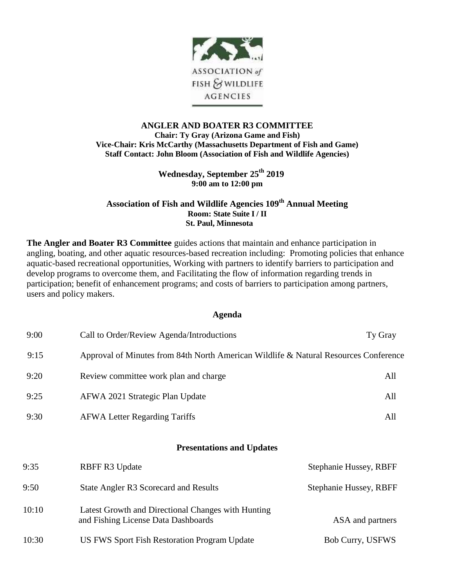

## **ANGLER AND BOATER R3 COMMITTEE Chair: Ty Gray (Arizona Game and Fish) Vice-Chair: Kris McCarthy (Massachusetts Department of Fish and Game) Staff Contact: John Bloom (Association of Fish and Wildlife Agencies)**

**Wednesday, September 25 th 2019 9:00 am to 12:00 pm**

## **Association of Fish and Wildlife Agencies 109 th Annual Meeting Room: State Suite I / II St. Paul, Minnesota**

**The Angler and Boater R3 Committee** guides actions that maintain and enhance participation in angling, boating, and other aquatic resources-based recreation including: Promoting policies that enhance aquatic-based recreational opportunities, Working with partners to identify barriers to participation and develop programs to overcome them, and Facilitating the flow of information regarding trends in participation; benefit of enhancement programs; and costs of barriers to participation among partners, users and policy makers.

## **Agenda**

| 9:00  | Call to Order/Review Agenda/Introductions                                                 | Ty Gray                |
|-------|-------------------------------------------------------------------------------------------|------------------------|
| 9:15  | Approval of Minutes from 84th North American Wildlife & Natural Resources Conference      |                        |
| 9:20  | Review committee work plan and charge                                                     | All                    |
| 9:25  | AFWA 2021 Strategic Plan Update                                                           | All                    |
| 9:30  | <b>AFWA Letter Regarding Tariffs</b>                                                      | All                    |
|       | <b>Presentations and Updates</b>                                                          |                        |
| 9:35  | <b>RBFF R3 Update</b>                                                                     | Stephanie Hussey, RBFF |
| 9:50  | State Angler R3 Scorecard and Results                                                     | Stephanie Hussey, RBFF |
| 10:10 | Latest Growth and Directional Changes with Hunting<br>and Fishing License Data Dashboards | ASA and partners       |

10:30 US FWS Sport Fish Restoration Program Update Bob Curry, USFWS